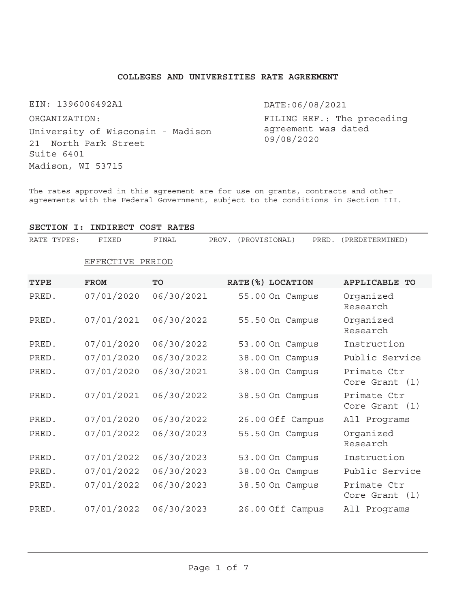# **COLLEGES AND UNIVERSITIES RATE AGREEMENT**

EIN: 1396006492A1

University of Wisconsin - Madison 21 North Park Street Suite 6401 Madison, WI 53715 ORGANIZATION:

DATE:06/08/2021

FILING REF.: The preceding agreement was dated 09/08/2020

The rates approved in this agreement are for use on grants, contracts and other agreements with the Federal Government, subject to the conditions in Section III.

**SECTION I: INDIRECT COST RATES** RATE TYPES: FIXED FINAL PROV. (PROVISIONAL) PRED. (PREDETERMINED)

| <b>TYPE</b> | <b>FROM</b> | $\underline{\text{TO}}$ | RATE (%) LOCATION | <b>APPLICABLE</b><br>TO          |
|-------------|-------------|-------------------------|-------------------|----------------------------------|
| PRED.       | 07/01/2020  | 06/30/2021              | 55.00 On Campus   | Organized<br>Research            |
| PRED.       | 07/01/2021  | 06/30/2022              | 55.50 On Campus   | Organized<br>Research            |
| PRED.       | 07/01/2020  | 06/30/2022              | 53.00 On Campus   | Instruction                      |
| PRED.       | 07/01/2020  | 06/30/2022              | 38.00 On Campus   | Public Service                   |
| PRED.       | 07/01/2020  | 06/30/2021              | 38.00 On Campus   | Primate Ctr<br>Core Grant $(1)$  |
| PRED.       | 07/01/2021  | 06/30/2022              | 38.50 On Campus   | Primate Ctr<br>Core Grant $(1)$  |
| PRED.       | 07/01/2020  | 06/30/2022              | 26.00 Off Campus  | All Programs                     |
| PRED.       | 07/01/2022  | 06/30/2023              | 55.50 On Campus   | Organized<br>Research            |
| PRED.       | 07/01/2022  | 06/30/2023              | 53.00 On Campus   | Instruction                      |
| PRED.       | 07/01/2022  | 06/30/2023              | 38.00 On Campus   | Public Service                   |
| PRED.       | 07/01/2022  | 06/30/2023              | 38.50 On Campus   | Primate Ctr<br>Core Grant<br>(1) |

# EFFECTIVE PERIOD

PRED. 07/01/2022 06/30/2023 26.00 Off Campus All Programs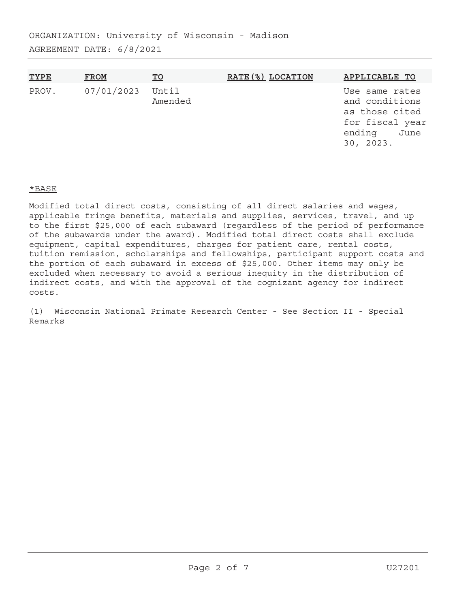| <b>TYPE</b> | <b>FROM</b> | <u>TO</u>        | RATE (%) LOCATION | APPLICABLE TO                                                                                        |
|-------------|-------------|------------------|-------------------|------------------------------------------------------------------------------------------------------|
| PROV.       | 07/01/2023  | Until<br>Amended |                   | Use same rates<br>and conditions<br>as those cited<br>for fiscal year<br>ending<br>June<br>30, 2023. |

# \*BASE

Modified total direct costs, consisting of all direct salaries and wages, applicable fringe benefits, materials and supplies, services, travel, and up to the first \$25,000 of each subaward (regardless of the period of performance of the subawards under the award). Modified total direct costs shall exclude equipment, capital expenditures, charges for patient care, rental costs, tuition remission, scholarships and fellowships, participant support costs and the portion of each subaward in excess of \$25,000. Other items may only be excluded when necessary to avoid a serious inequity in the distribution of indirect costs, and with the approval of the cognizant agency for indirect costs.

(1) Wisconsin National Primate Research Center - See Section II - Special Remarks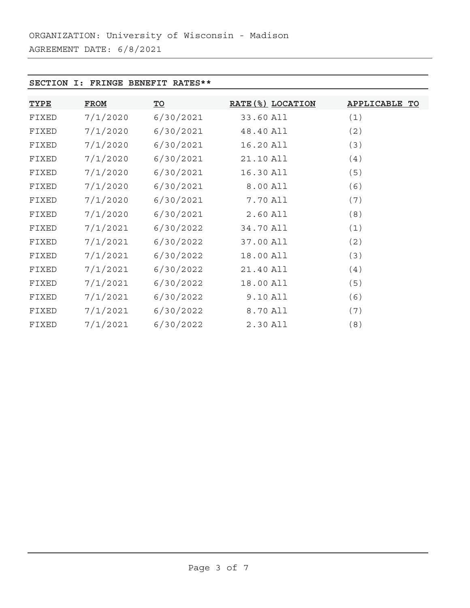# **SECTION I: FRINGE BENEFIT RATES\*\***

| <b>TYPE</b> | <b>FROM</b> | $\underline{\text{TO}}$ | RATE (%) LOCATION | <b>APPLICABLE TO</b> |
|-------------|-------------|-------------------------|-------------------|----------------------|
| FIXED       | 7/1/2020    | 6/30/2021               | 33.60 All         | (1)                  |
| FIXED       | 7/1/2020    | 6/30/2021               | 48.40 All         | (2)                  |
| FIXED       | 7/1/2020    | 6/30/2021               | 16.20 All         | (3)                  |
| FIXED       | 7/1/2020    | 6/30/2021               | 21.10 All         | (4)                  |
| FIXED       | 7/1/2020    | 6/30/2021               | 16.30 All         | (5)                  |
| FIXED       | 7/1/2020    | 6/30/2021               | 8.00 All          | (6)                  |
| FIXED       | 7/1/2020    | 6/30/2021               | 7.70 All          | (7)                  |
| FIXED       | 7/1/2020    | 6/30/2021               | 2.60 All          | (8)                  |
| FIXED       | 7/1/2021    | 6/30/2022               | 34.70 All         | (1)                  |
| FIXED       | 7/1/2021    | 6/30/2022               | 37.00 All         | (2)                  |
| FIXED       | 7/1/2021    | 6/30/2022               | 18.00 All         | (3)                  |
| FIXED       | 7/1/2021    | 6/30/2022               | 21.40 All         | (4)                  |
| FIXED       | 7/1/2021    | 6/30/2022               | 18.00 All         | (5)                  |
| FIXED       | 7/1/2021    | 6/30/2022               | 9.10 All          | (6)                  |
| FIXED       | 7/1/2021    | 6/30/2022               | 8.70 All          | (7)                  |
| FIXED       | 7/1/2021    | 6/30/2022               | 2.30 All          | (8)                  |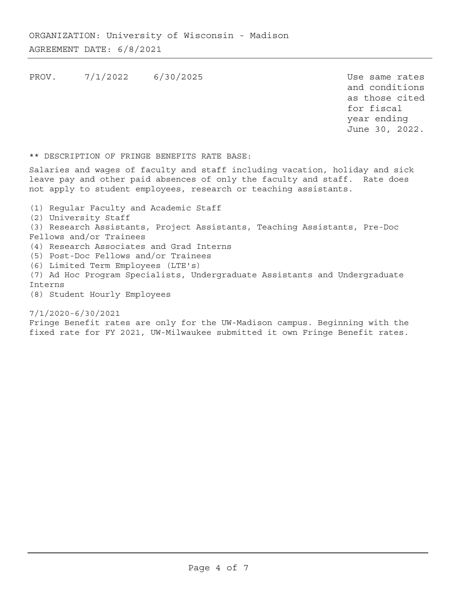PROV. 7/1/2022 6/30/2025 Use same rates

and conditions as those cited for fiscal year ending June 30, 2022.

\*\* DESCRIPTION OF FRINGE BENEFITS RATE BASE:

Salaries and wages of faculty and staff including vacation, holiday and sick leave pay and other paid absences of only the faculty and staff. Rate does not apply to student employees, research or teaching assistants.

- (1) Regular Faculty and Academic Staff
- (2) University Staff
- (3) Research Assistants, Project Assistants, Teaching Assistants, Pre-Doc Fellows and/or Trainees
- (4) Research Associates and Grad Interns
- (5) Post-Doc Fellows and/or Trainees
- (6) Limited Term Employees (LTE's)
- (7) Ad Hoc Program Specialists, Undergraduate Assistants and Undergraduate Interns
- (8) Student Hourly Employees

7/1/2020-6/30/2021

Fringe Benefit rates are only for the UW-Madison campus. Beginning with the fixed rate for FY 2021, UW-Milwaukee submitted it own Fringe Benefit rates.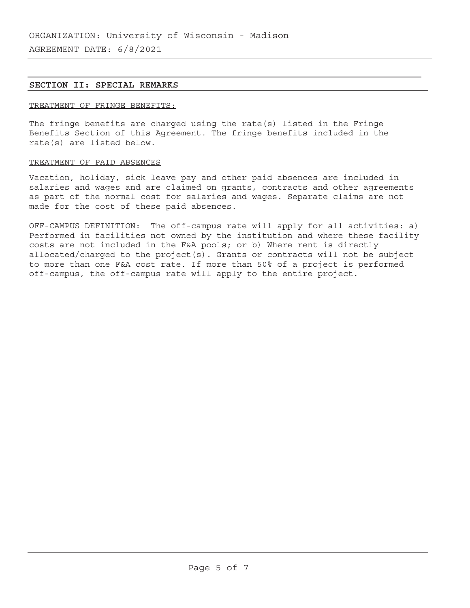# **SECTION II: SPECIAL REMARKS**

## TREATMENT OF FRINGE BENEFITS:

The fringe benefits are charged using the rate(s) listed in the Fringe Benefits Section of this Agreement. The fringe benefits included in the rate(s) are listed below.

## TREATMENT OF PAID ABSENCES

Vacation, holiday, sick leave pay and other paid absences are included in salaries and wages and are claimed on grants, contracts and other agreements as part of the normal cost for salaries and wages. Separate claims are not made for the cost of these paid absences.

OFF-CAMPUS DEFINITION: The off-campus rate will apply for all activities: a) Performed in facilities not owned by the institution and where these facility costs are not included in the F&A pools; or b) Where rent is directly allocated/charged to the project(s). Grants or contracts will not be subject to more than one F&A cost rate. If more than 50% of a project is performed off-campus, the off-campus rate will apply to the entire project.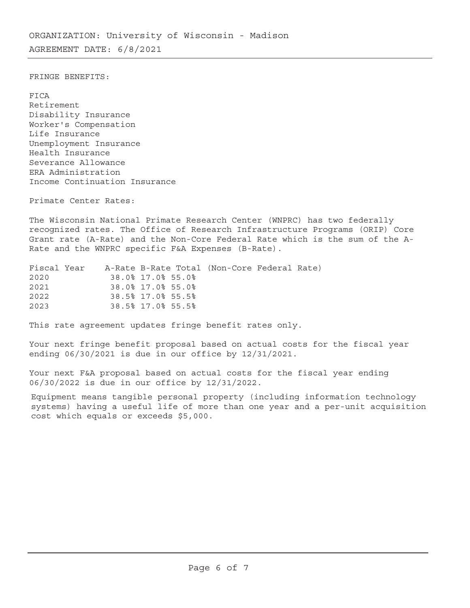FRINGE BENEFITS:

FICA Retirement Disability Insurance Worker's Compensation Life Insurance Unemployment Insurance Health Insurance Severance Allowance ERA Administration Income Continuation Insurance

Primate Center Rates:

The Wisconsin National Primate Research Center (WNPRC) has two federally recognized rates. The Office of Research Infrastructure Programs (ORIP) Core Grant rate (A-Rate) and the Non-Core Federal Rate which is the sum of the A-Rate and the WNPRC specific F&A Expenses (B-Rate).

| Fiscal Year |  |                   | A-Rate B-Rate Total (Non-Core Federal Rate) |  |
|-------------|--|-------------------|---------------------------------------------|--|
| 2020        |  | 38.0% 17.0% 55.0% |                                             |  |
| 2021        |  | 38.0% 17.0% 55.0% |                                             |  |
| 2022        |  | 38.5% 17.0% 55.5% |                                             |  |
| 2023        |  | 38.5% 17.0% 55.5% |                                             |  |

This rate agreement updates fringe benefit rates only.

Your next fringe benefit proposal based on actual costs for the fiscal year ending 06/30/2021 is due in our office by 12/31/2021.

Your next F&A proposal based on actual costs for the fiscal year ending 06/30/2022 is due in our office by 12/31/2022.

Equipment means tangible personal property (including information technology systems) having a useful life of more than one year and a per-unit acquisition cost which equals or exceeds \$5,000.